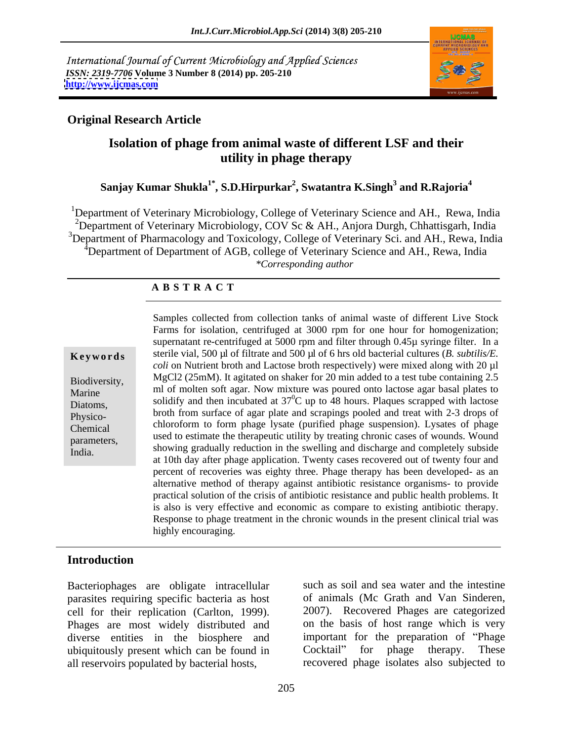International Journal of Current Microbiology and Applied Sciences *ISSN: 2319-7706* **Volume 3 Number 8 (2014) pp. 205-210 <http://www.ijcmas.com>**



## **Original Research Article**

# **Isolation of phage from animal waste of different LSF and their utility in phage therapy**

### $\boldsymbol{\mathrm{Sanjay}}$  Kumar Shukla $^{1^*}$ , S.D.Hirpurkar $^2$ , Swatantra K.Singh $^3$  and R.Rajoria $^4$  **and R.Rajoria<sup>4</sup>**

<sup>1</sup>Department of Veterinary Microbiology, College of Veterinary Science and AH., Rewa, India <sup>2</sup>Department of Veterinary Microbiology, COV Sc & AH., Anjora Durgh, Chhattisgarh, India <sup>3</sup>Department of Pharmacology and Toxicology, College of Veterinary Sci. and AH., Rewa, India Department of Department of AGB, college of Veterinary Science and AH., Rewa, India *\*Corresponding author* 

### **A B S T R A C T**

**Keywords** sterile vial, 500 µl of filtrate and 500 µl of 6 hrs old bacterial cultures (*B. subtilis/E.* Biodiversity, MgCl2 (25mM). It agitated on shaker for 20 min added to a test tube containing 2.5 Marine  $\frac{m}{s}$  ml of molten soft agar. Now mixture was poured onto lactose agar basal plates to Diatoms, solidify and then incubated at  $37^{\circ}$ C up to 48 hours. Plaques scrapped with lactose Physico- broth from surface of agar plate and scrapings pooled and treat with 2-3 drops of Chemical chloroform to form phage lysate (purified phage suspension). Lysates of phage parameters, used to estimate the therapeutic utility by treating chronic cases of wounds. Wound Francescon, showing gradually reduction in the swelling and discharge and completely subside<br>India. Samples collected from collection tanks of animal waste of different Live Stock Farms for isolation, centrifuged at 3000 rpm for one hour for homogenization; supernatant re-centrifuged at 5000 rpm and filter through 0.45µ syringe filter. In a *coli* on Nutrient broth and Lactose broth respectively) were mixed along with 20 µl at 10th day after phage application. Twenty cases recovered out of twenty four and percent of recoveries was eighty three. Phage therapy has been developed- as an alternative method of therapy against antibiotic resistance organisms- to provide practical solution of the crisis of antibiotic resistance and public health problems. It is also is very effective and economic as compare to existing antibiotic therapy. Response to phage treatment in the chronic wounds in the present clinical trial was highly encouraging.

# **Introduction**

Bacteriophages are obligate intracellular parasites requiring specific bacteria as host cell for their replication (Carlton, 1999). Phages are most widely distributed and diverse entities in the biosphere and important for the preparation of ubiquitously present which can be found in Cocktail" for phage therapy. ubiquitously present which can be found in Cocktail" for phage therapy. These all reservoirs populated by bacterial hosts,

such as soil and sea water and the intestine of animals (Mc Grath and Van Sinderen, 2007). Recovered Phages are categorized on the basis of host range which is very important for the preparation of "Phage" Cocktail" for phage therapy. These recovered phage isolates also subjected to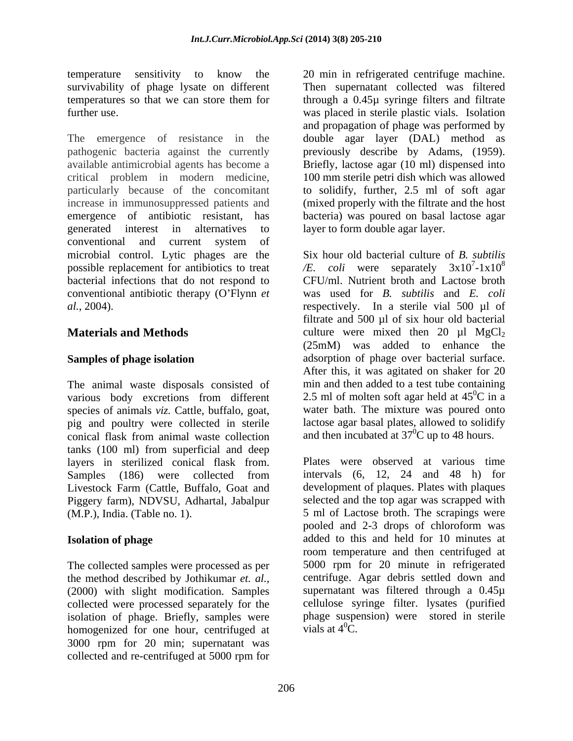The emergence of resistance in the double agar layer (DAL) method as pathogenic bacteria against the currently previously describe by Adams, (1959). available antimicrobial agents has become a Briefly, lactose agar (10 ml) dispensed into critical problem in modern medicine, 100 mm sterile petri dish which was allowed particularly because of the concomitant to solidify, further, 2.5 ml of soft agar increase in immunosuppressed patients and (mixed properly with the filtrate and the host emergence of antibiotic resistant, has bacteria) was poured on basal lactose agar generated interest in alternatives to layer to form double agar layer. conventional and current system of microbial control. Lytic phages are the Six hour old bacterial culture of *B. subtilis* possible replacement for antibiotics to treat  $/E$ . bacterial infections that do not respond to conventional antibiotic therapy (O Flynn *et al.*, 2004). respectively. In a sterile vial 500 µl of

The animal waste disposals consisted of species of animals *viz.* Cattle, buffalo, goat, pig and poultry were collected in sterile conical flask from animal waste collection and then incubated at 37<sup>o</sup>C up to 48 hours. tanks (100 ml) from superficial and deep layers in sterilized conical flask from. Livestock Farm (Cattle, Buffalo, Goat and Piggery farm), NDVSU, Adhartal, Jabalpur

The collected samples were processed as per the method described by Jothikumar *et. al.,* (2000) with slight modification. Samples collected were processed separately for the isolation of phage. Briefly, samples were homogenized for one hour, centrifuged at 3000 rpm for 20 min; supernatant was collected and re-centrifuged at 5000 rpm for

temperature sensitivity to know the 20 min in refrigerated centrifuge machine. survivability of phage lysate on different Then supernatant collected was filtered temperatures so that we can store them for through a 0.45µ syringe filters and filtrate further use. was placed in sterile plastic vials. Isolation and propagation of phage was performed by

**Materials and Methods** culture were mixed then 20 µl MgCl<sub>2</sub> Samples of phage isolation **and adsorption** of phage over bacterial surface. various body excretions from different 2.5 ml of molten soft agar held at 45<sup>o</sup>C in a *coli* were separately  $3x10^7-1x10^8$  $71 \times 10^8$  $-1x10^8$ CFU/ml. Nutrient broth and Lactose broth was used for *B. subtilis* and *E. coli* filtrate and 500 µl of six hour old bacterial (25mM) was added to enhance the After this, it was agitated on shaker for 20 min and then added to a test tube containing 2.5 ml of molten soft agar held at  $45^{\circ}$ C in a  ${}^{0}C$  in a water bath. The mixture was poured onto lactose agar basal plates, allowed to solidify and then incubated at  $37^{\circ}$ C up to 48 hours.

Samples (186) were collected from intervals (6, 12, 24 and 48 h) for (M.P.), India. (Table no. 1). 5 ml of Lactose broth. The scrapings were **Isolation of phage** added to this and held for 10 minutes at Plates were observed at various time intervals  $(6, 12, 24$  and  $48$  h) for development of plaques. Plates with plaques selected and the top agar was scrapped with pooled and 2-3 drops of chloroform was room temperature and then centrifuged at 5000 rpm for 20 minute in refrigerated centrifuge. Agar debris settled down and supernatant was filtered through a 0.45µ cellulose syringe filter. lysates (purified phage suspension) were stored in sterile vials at  $4^0C$ .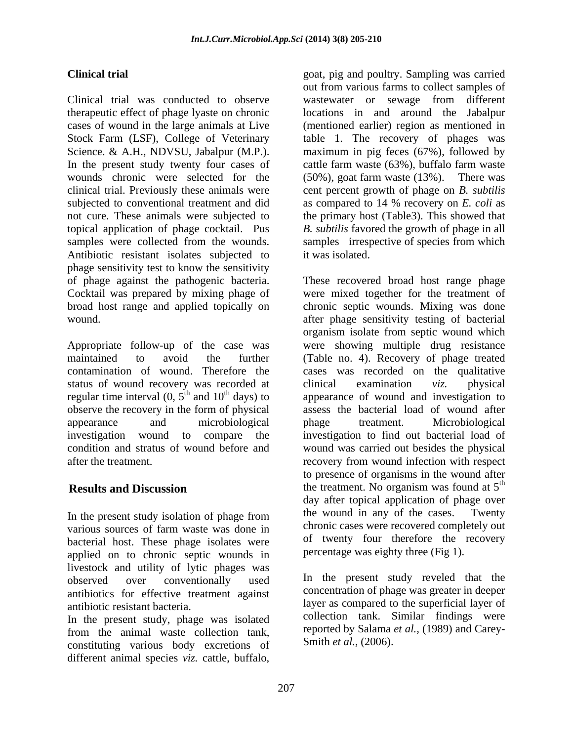Clinical trial was conducted to observe wastewater or sewage from different therapeutic effect of phage lyaste on chronic locations in and around the Jabalpur cases of wound in the large animals at Live (mentioned earlier) region as mentioned in Stock Farm (LSF), College of Veterinary table 1. The recovery of phages was Science. & A.H., NDVSU, Jabalpur (M.P.). maximum in pig feces (67%), followed by In the present study twenty four cases of wounds chronic were selected for the  $(50\%)$ , goat farm waste  $(13\%)$ . There was clinical trial. Previously these animals were cent percent growth of phage on *B. subtilis* subjected to conventional treatment and did as compared to 14 % recovery on *E. coli* as not cure. These animals were subjected to the primary host (Table3). This showed that topical application of phage cocktail. Pus *B. subtilis* favored the growth of phage in all samples were collected from the wounds. Samples irrespective of species from which Antibiotic resistant isolates subjected to it was isolated. phage sensitivity test to know the sensitivity

Appropriate follow-up of the case was status of wound recovery was recorded at clinical examination viz. physical regular time interval  $(0, 5<sup>th</sup>$  and  $10<sup>th</sup>$  days) to observe the recovery in the form of physical after the treatment.

bacterial host. These phage isolates were applied on to chronic septic wounds in livestock and utility of lytic phages was antibiotics for effective treatment against

In the present study, phage was isolated from the animal waste collection tank, constituting various body excretions of different animal species *viz.* cattle, buffalo,

**Clinical trial** goat, pig and poultry. Sampling was carried out from various farms to collect samples of cattle farm waste (63%), buffalo farm waste (50%), goat farm waste (13%). There was it was isolated.

of phage against the pathogenic bacteria. These recovered broad host range phage Cocktail was prepared by mixing phage of were mixed together for the treatment of broad host range and applied topically on chronic septic wounds. Mixing was done wound. after phage sensitivity testing of bacterial maintained to avoid the further (Table no. 4). Recovery of phage treated contamination of wound. Therefore the cases was recorded on the qualitative  $t<sup>th</sup>$  and 10<sup>th</sup> days) to appearance of wound and investigation to appearance and microbiological phage treatment. Microbiological investigation wound to compare the investigation to find out bacterial load of condition and stratus of wound before and wound was carried out besides the physical **Results and Discussion** the treatment. No organism was found at 5<sup>th</sup> In the present study isolation of phage from the wound in any of the cases. Twenty various sources of farm waste was done in chronic cases were recovered completely out organism isolate from septic wound which were showing multiple drug resistance clinical examination *viz.* physical assess the bacterial load of wound after phage treatment. Microbiological recovery from wound infection with respect to presence of organisms in the wound after th day after topical application of phage over the wound in any of the cases. chronic cases were recovered completely out of twenty four therefore the recovery percentage was eighty three (Fig 1).

observed over conventionally used in the present study reveled that the antibiotic resistant bacteria. layer as compared to the superficial layer of In the present study reveled that the concentration of phage was greater in deeper collection tank. Similar findings were reported by Salama *et al.,* (1989) and Carey- Smith *et al.,* (2006).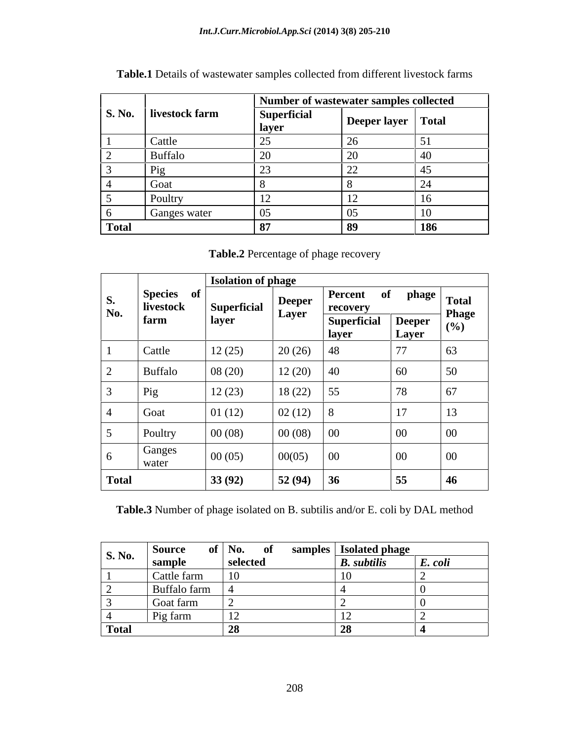|                    |                       | Number of wastewater samples collected |                    |     |
|--------------------|-----------------------|----------------------------------------|--------------------|-----|
|                    | S. No. livestock farm | <b>Superficial</b><br>  layer          | Deeper layer Total |     |
|                    | Cattle                |                                        |                    |     |
|                    | Buffalo               |                                        |                    |     |
|                    |                       |                                        |                    |     |
|                    | Goat                  |                                        |                    |     |
|                    | Poultry               |                                        |                    |     |
|                    | Ganges water          |                                        |                    |     |
| <sup>1</sup> Total |                       |                                        |                    | 186 |

**Table.1** Details of wastewater samples collected from different livestock farms

**Table.2** Percentage of phage recovery

|                                                        |                 | <b>Isolation of phage</b> |                                    |                               |                |                              |  |  |  |
|--------------------------------------------------------|-----------------|---------------------------|------------------------------------|-------------------------------|----------------|------------------------------|--|--|--|
| Species of<br>$\mathbf{D}$<br>livestock<br>No.<br>farm |                 | <b>Superficial</b>        | Deeper<br>Layer                    | Percent of<br>recovery        | phage          | <b>Total</b><br><b>Phage</b> |  |  |  |
|                                                        | layer           |                           | <b>Superficial</b><br><u>layer</u> | <b>Deeper</b><br><b>Layer</b> | (%)            |                              |  |  |  |
|                                                        | Cattle          | 12(25)                    | 20(26)                             | 48                            | $\overline{a}$ | 63                           |  |  |  |
|                                                        | Buffalo         | 08(20)                    | 12(20)                             | 40                            | 60             | 50                           |  |  |  |
|                                                        | Pig             | 12(23)                    | 18(22)                             | 55                            | $\mathbf{a}$   | $\epsilon$ 7                 |  |  |  |
|                                                        | Goat            | 01(12)                    | $\vert 02(12) \vert$               | $\overline{8}$                | 17             | 13                           |  |  |  |
|                                                        | Poultry         | 00(08)                    | 00(08)                             | $\vert$ 00                    | $00\,$         | $00\,$                       |  |  |  |
|                                                        | Ganges<br>water | 00(05)                    | 00(05)                             | $\vert$ 00                    | $00\,$         | $00\,$                       |  |  |  |
| <b>Total</b>                                           |                 | 33(92)                    | 52(94)                             | 36                            | 55             | 46                           |  |  |  |

**Table.3** Number of phage isolated on B. subtilis and/or E. coli by DAL method

|                    | Source       | of   No.<br>$\mathbf{0}$ | samples   Isolated phage |         |
|--------------------|--------------|--------------------------|--------------------------|---------|
| <b>S. No.</b>      | sample       | selected                 | <b>B.</b> subtilis       | E. coli |
|                    | Cattle farm  |                          |                          |         |
|                    | Buffalo farm |                          |                          |         |
|                    | Goat farm    |                          |                          |         |
|                    | Pig farm     |                          |                          |         |
| <sup>1</sup> Total |              |                          |                          |         |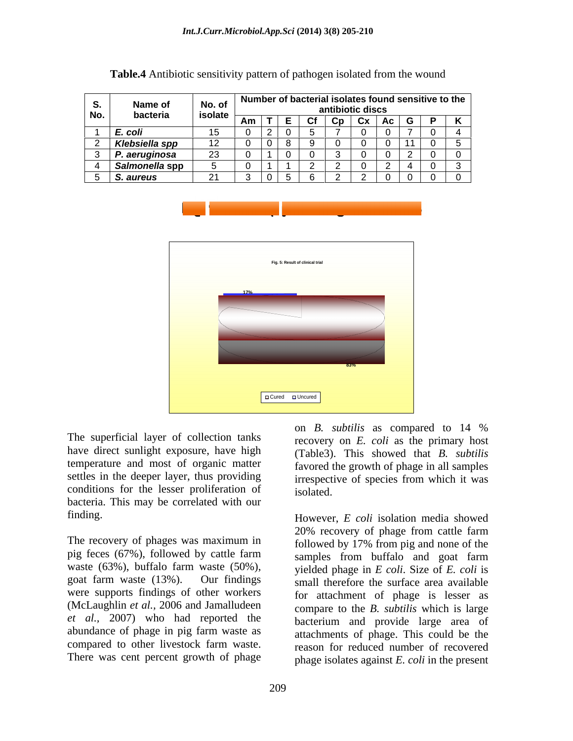|     | <b>Name of</b> | No. of         | Number of bacterial isolates found sensitive to the |                  |       |  |
|-----|----------------|----------------|-----------------------------------------------------|------------------|-------|--|
| No. | bacteria       | isolate        |                                                     | antibiotic discs | - ^ ^ |  |
|     | I E. coli      | $\overline{A}$ |                                                     |                  |       |  |
|     | Klebsiella spp |                |                                                     |                  |       |  |
|     | . aeruginosa   |                |                                                     |                  |       |  |
|     | Salmonella spp |                |                                                     |                  |       |  |
|     | S. aureus      | $\sim$ 1       | <u>. u</u>                                          |                  |       |  |

**Table.4** Antibiotic sensitivity pattern of pathogen isolated from the wound





The superficial layer of collection tanks have direct sunlight exposure, have high temperature and most of organic matter settles in the deeper layer, thus providing irrespective of species from which it was conditions for the lesser proliferation of isolated. bacteria. This may be correlated with our finding. However, *E coli* isolation media showed

The recovery of phages was maximum in pig feces (67%), followed by cattle farm waste (63%), buffalo farm waste (50%), goat farm waste (13%). Our findings small therefore the surface area available were supports findings of other workers (McLaughlin *et al.,* 2006 and Jamalludeen compare to the *B. subtilis* which is large *et al.,* 2007) who had reported the abundance of phage in pig farm waste as compared to other livestock farm waste. There was cent percent growth of phage

recovery on *E. coli* as the primary host (Table3). This showed that *B. subtilis* favored the growth of phage in all samples irrespective of species from which it was isolated.

on *B. subtilis* as compared to 14 %

20% recovery of phage from cattle farm followed by 17% from pig and none of the samples from buffalo and goat farm yielded phage in *E coli*. Size of *E. coli* is for attachment of phage is lesser as bacterium and provide large area of attachments of phage. This could be the reason for reduced number of recovered phage isolates against *E. coli* in the present